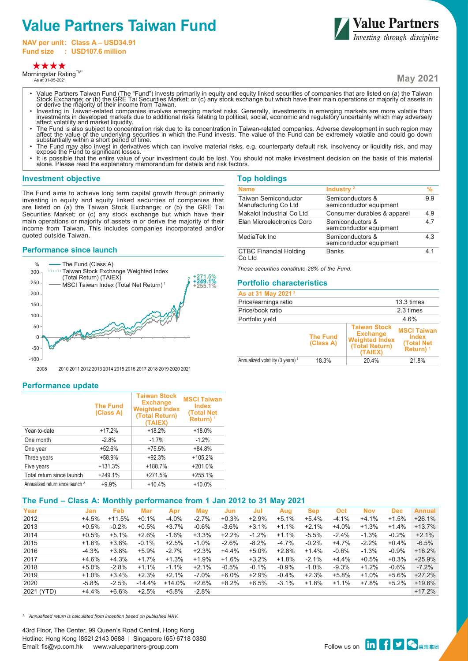# **Value Partners Taiwan Fund**

**NAV per unit: Class A – USD34.91 Fund size : USD107.6 million**



Morningstar Rating™ As at 31-05-2021

**Value Partners**<br>*Investing through discipline* 

**May 2021**

- Value Partners Taiwan Fund (The "Fund") invests primarily in equity and equity linked securities of companies that are listed on (a) the Taiwan<br>Stock Exchange; or (b) the GRE Tai Securities Market; or (c) any stock excha or derive the majority of their income from Taiwan.
- Investing in Taiwan-related companies involves emerging market risks. Generally, investments in emerging markets are more volatile than<br>investments in developed markets due to additional risks relating to political, social affect volatility and market liquidity.
- The Fund is also subject to concentration risk due to its concentration in Taiwan-related companies. Adverse development in such region may<br>affect the value of the underlying securities in which the Fund invests. The val
- The Fund may also invest in derivatives which can involve material risks, e.g. counterparty default risk, insolvency or liquidity risk, and may expose the Fund to significant losses.
- It is possible that the entire value of your investment could be lost. You should not make investment decision on the basis of this material alone. Please read the explanatory memorandum for details and risk factors.

### **Investment objective**

The Fund aims to achieve long term capital growth through primarily investing in equity and equity linked securities of companies that are listed on (a) the Taiwan Stock Exchange; or (b) the GRE Tai Securities Market; or (c) any stock exchange but which have their main operations or majority of assets in or derive the majority of their income from Taiwan. This includes companies incorporated and/or quoted outside Taiwan.

#### **Performance since launch**



| <b>Top holdings</b>                                 |                                             |                |
|-----------------------------------------------------|---------------------------------------------|----------------|
| <b>Name</b>                                         | Industry <sup>2</sup>                       | %              |
| <b>Taiwan Semiconductor</b><br>Manufacturing Co Ltd | Semiconductors &<br>semiconductor equipment | 9.9            |
| Makalot Industrial Co Ltd                           | Consumer durables & apparel                 | 4.9            |
| Elan Microelectronics Corp                          | Semiconductors &<br>semiconductor equipment | 47             |
| MediaTek Inc                                        | Semiconductors &<br>semiconductor equipment | 43             |
| <b>CTBC Financial Holding</b><br>Co Ltd             | <b>Banks</b>                                | 4 <sub>1</sub> |

*These securities constitute 28% of the Fund.*

## **Portfolio characteristics**

| As at 31 May 2021 <sup>3</sup>               |                              |                                                                                              |                                                                                  |
|----------------------------------------------|------------------------------|----------------------------------------------------------------------------------------------|----------------------------------------------------------------------------------|
| Price/earnings ratio                         |                              |                                                                                              | 13.3 times                                                                       |
| Price/book ratio                             |                              |                                                                                              | 2.3 times                                                                        |
| Portfolio yield                              |                              |                                                                                              | 4.6%                                                                             |
|                                              | <b>The Fund</b><br>(Class A) | <b>Taiwan Stock</b><br><b>Exchange</b><br><b>Weighted Index</b><br>(Total Return)<br>(TAIEX) | <b>MSCI Taiwan</b><br><b>Index</b><br><b>(Total Net)</b><br>Return) <sup>1</sup> |
| Annualized volatility (3 years) <sup>4</sup> | 18.3%                        | 20.4%                                                                                        | 21.8%                                                                            |

2008 2010 2011 2012 2013 2014 2015 2016 2017 2018 2019 2020 2021

### **Performance update**

|                                  | <b>The Fund</b><br>(Class A) | <b>Taiwan Stock</b><br><b>Exchange</b><br><b>Weighted Index</b><br>(Total Return)<br>(TAIEX) | <b>MSCI Taiwan</b><br>Index<br><b>(Total Net</b><br>Return) <sup>1</sup> |
|----------------------------------|------------------------------|----------------------------------------------------------------------------------------------|--------------------------------------------------------------------------|
| Year-to-date                     | $+17.2%$                     | $+18.2%$                                                                                     | $+18.0%$                                                                 |
| One month                        | $-2.8%$                      | $-1.7%$                                                                                      | $-1.2%$                                                                  |
| One year                         | $+52.6%$                     | $+75.5%$                                                                                     | $+84.8%$                                                                 |
| Three years                      | +58.9%                       | $+92.3%$                                                                                     | +105.2%                                                                  |
| Five years                       | $+131.3%$                    | +188.7%                                                                                      | +201.0%                                                                  |
| Total return since launch        | $+249.1%$                    | $+271.5%$                                                                                    | $+255.1%$                                                                |
| Annualized return since launch ^ | $+9.9%$                      | $+10.4%$                                                                                     | $+10.0%$                                                                 |

# **The Fund – Class A: Monthly performance from 1 Jan 2012 to 31 May 2021**

| Year       | Jan     | Feb      | Mar      | Apr      | <b>May</b> | Jun     | Jul      | Aug     | <b>Sep</b> | Oct     | <b>Nov</b> | <b>Dec</b> | <b>Annual</b> |
|------------|---------|----------|----------|----------|------------|---------|----------|---------|------------|---------|------------|------------|---------------|
| 2012       | $+4.5%$ | $+11.5%$ | $+0.1%$  | $-4.0%$  | $-2.7%$    | $+0.3%$ | $+2.9%$  | $+5.1%$ | $+5.4%$    | $-4.1%$ | $+4.1%$    | $+1.5%$    | $+26.1%$      |
| 2013       | $+0.5%$ | $-0.2%$  | $+0.5%$  | $+3.7%$  | $-0.6%$    | $-3.6%$ | $+3.1%$  | $+1.1%$ | $+2.1%$    | $+4.0%$ | $+1.3%$    | $+1.4%$    | $+13.7%$      |
| 2014       | $+0.5%$ | $+5.1%$  | $+2.6%$  | $-1.6%$  | $+3.3%$    | $+2.2%$ | $-1.2%$  | $+1.1%$ | $-5.5%$    | $-2.4%$ | $-1.3%$    | $-0.2%$    | $+2.1%$       |
| 2015       | $+1.6%$ | $+3.8%$  | $-0.1%$  | $+2.5%$  | $-1.0%$    | $-2.6%$ | $-8.2%$  | $-4.7%$ | $-0.2%$    | $+4.7%$ | $-2.2%$    | $+0.4%$    | $-6.5%$       |
| 2016       | $-4.3%$ | $+3.8%$  | +5.9%    | $-2.7%$  | $+2.3%$    | $+4.4%$ | $+5.0\%$ | $+2.8%$ | $+1.4%$    | $-0.6%$ | $-1.3%$    | $-0.9%$    | $+16.2%$      |
| 2017       | $+4.6%$ | $+4.3%$  | $+1.7%$  | $+1.3%$  | $+1.9%$    | $+1.6%$ | $+3.2%$  | $+1.8%$ | $-2.1%$    | $+4.4%$ | $+0.5%$    | $+0.3%$    | $+25.9%$      |
| 2018       | $+5.0%$ | $-2.8%$  | $+1.1%$  | $-1.1%$  | $+2.1%$    | $-0.5%$ | $-0.1%$  | $-0.9%$ | $-1.0%$    | $-9.3%$ | $+1.2%$    | $-0.6%$    | $-7.2%$       |
| 2019       | $+1.0%$ | $+3.4%$  | $+2.3%$  | $+2.1%$  | $-7.0%$    | $+6.0%$ | $+2.9%$  | $-0.4%$ | $+2.3%$    | $+5.8%$ | $+1.0%$    | $+5.6%$    | $+27.2%$      |
| 2020       | $-5.8%$ | $-2.5%$  | $-14.4%$ | $+14.0%$ | $+2.6%$    | $+8.2%$ | $+6.5%$  | $-3.1%$ | $+1.8%$    | $+1.1%$ | +7.8%      | $+5.2%$    | $+19.6%$      |
| 2021 (YTD) | $+4.4%$ | $+6.6%$  | $+2.5%$  | $+5.8%$  | $-2.8%$    |         |          |         |            |         |            |            | $+17.2%$      |
|            |         |          |          |          |            |         |          |         |            |         |            |            |               |

*^ Annualized return is calculated from inception based on published NAV.*